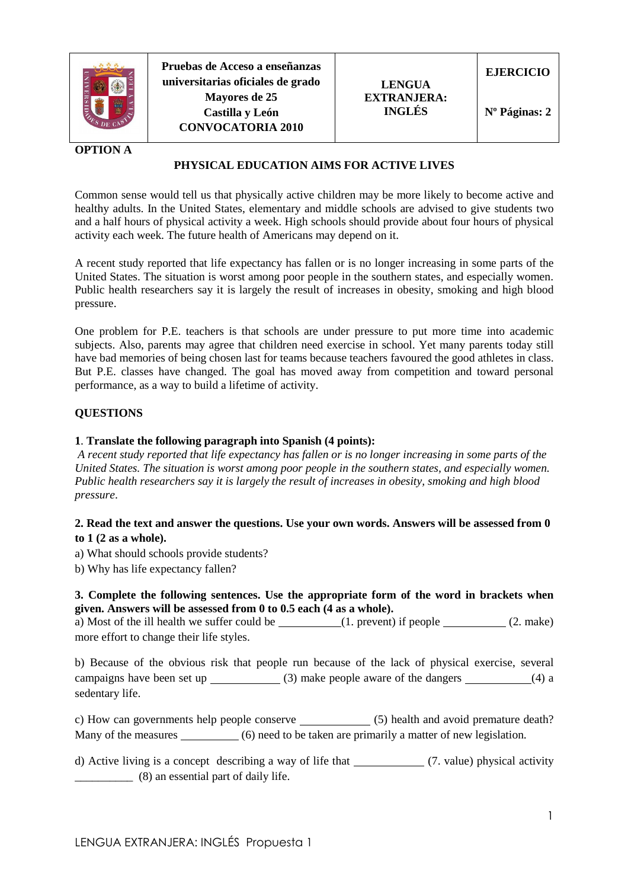

**Pruebas de Acceso a enseñanzas universitarias oficiales de grado Mayores de 25 Castilla y León CONVOCATORIA 2010** 



**EJERCICIO** 

**Nº Páginas: 2** 

## **OPTION A**

# **PHYSICAL EDUCATION AIMS FOR ACTIVE LIVES**

Common sense would tell us that physically active children may be more likely to become active and healthy adults. In the United States, elementary and middle schools are advised to give students two and a half hours of physical activity a week. High schools should provide about four hours of physical activity each week. The future health of Americans may depend on it.

A recent study reported that life expectancy has fallen or is no longer increasing in some parts of the United States. The situation is worst among poor people in the southern states, and especially women. Public health researchers say it is largely the result of increases in obesity, smoking and high blood pressure.

One problem for P.E. teachers is that schools are under pressure to put more time into academic subjects. Also, parents may agree that children need exercise in school. Yet many parents today still have bad memories of being chosen last for teams because teachers favoured the good athletes in class. But P.E. classes have changed. The goal has moved away from competition and toward personal performance, as a way to build a lifetime of activity.

#### **QUESTIONS**

#### **1**. **Translate the following paragraph into Spanish (4 points):**

 *A recent study reported that life expectancy has fallen or is no longer increasing in some parts of the United States. The situation is worst among poor people in the southern states, and especially women. Public health researchers say it is largely the result of increases in obesity, smoking and high blood pressure*.

### **2. Read the text and answer the questions. Use your own words. Answers will be assessed from 0 to 1 (2 as a whole).**

a) What should schools provide students?

b) Why has life expectancy fallen?

#### **3. Complete the following sentences. Use the appropriate form of the word in brackets when given. Answers will be assessed from 0 to 0.5 each (4 as a whole).**

a) Most of the ill health we suffer could be  $(1.$  prevent) if people  $(2.$  make) more effort to change their life styles.

b) Because of the obvious risk that people run because of the lack of physical exercise, several campaigns have been set up  $(3)$  make people aware of the dangers  $(4)$  a sedentary life.

c) How can governments help people conserve (5) health and avoid premature death? Many of the measures (6) need to be taken are primarily a matter of new legislation.

d) Active living is a concept describing a way of life that (7. value) physical activity \_\_\_\_\_\_\_\_\_\_ (8) an essential part of daily life.